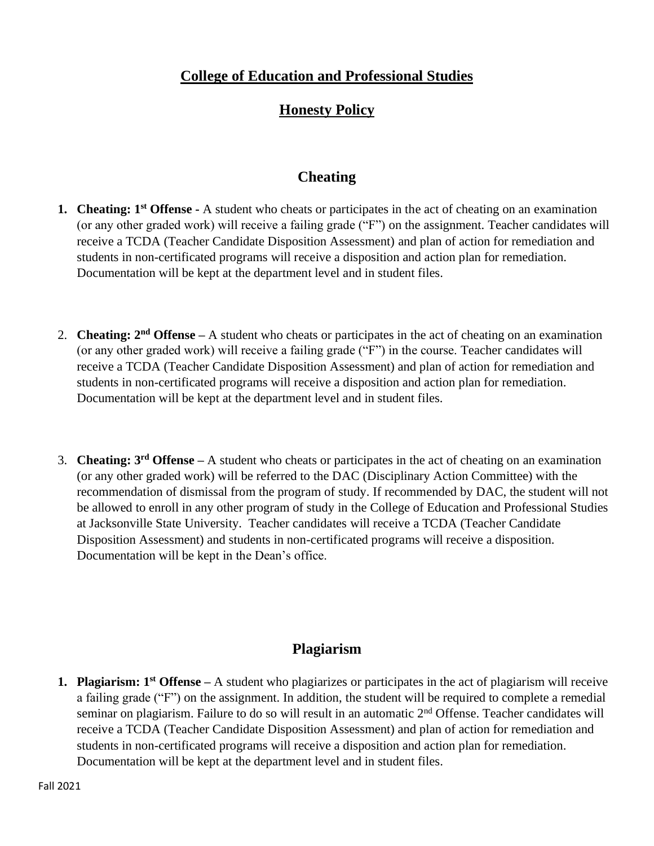# **College of Education and Professional Studies**

# **Honesty Policy**

## **Cheating**

- **1. Cheating: 1st Offense -** A student who cheats or participates in the act of cheating on an examination (or any other graded work) will receive a failing grade ("F") on the assignment. Teacher candidates will receive a TCDA (Teacher Candidate Disposition Assessment) and plan of action for remediation and students in non-certificated programs will receive a disposition and action plan for remediation. Documentation will be kept at the department level and in student files.
- 2. **Cheating: 2nd Offense –** A student who cheats or participates in the act of cheating on an examination (or any other graded work) will receive a failing grade ("F") in the course. Teacher candidates will receive a TCDA (Teacher Candidate Disposition Assessment) and plan of action for remediation and students in non-certificated programs will receive a disposition and action plan for remediation. Documentation will be kept at the department level and in student files.
- 3. **Cheating: 3 rd Offense –** A student who cheats or participates in the act of cheating on an examination (or any other graded work) will be referred to the DAC (Disciplinary Action Committee) with the recommendation of dismissal from the program of study. If recommended by DAC, the student will not be allowed to enroll in any other program of study in the College of Education and Professional Studies at Jacksonville State University. Teacher candidates will receive a TCDA (Teacher Candidate Disposition Assessment) and students in non-certificated programs will receive a disposition. Documentation will be kept in the Dean's office.

### **Plagiarism**

**1. Plagiarism: 1st Offense –** A student who plagiarizes or participates in the act of plagiarism will receive a failing grade ("F") on the assignment. In addition, the student will be required to complete a remedial seminar on plagiarism. Failure to do so will result in an automatic 2<sup>nd</sup> Offense. Teacher candidates will receive a TCDA (Teacher Candidate Disposition Assessment) and plan of action for remediation and students in non-certificated programs will receive a disposition and action plan for remediation. Documentation will be kept at the department level and in student files.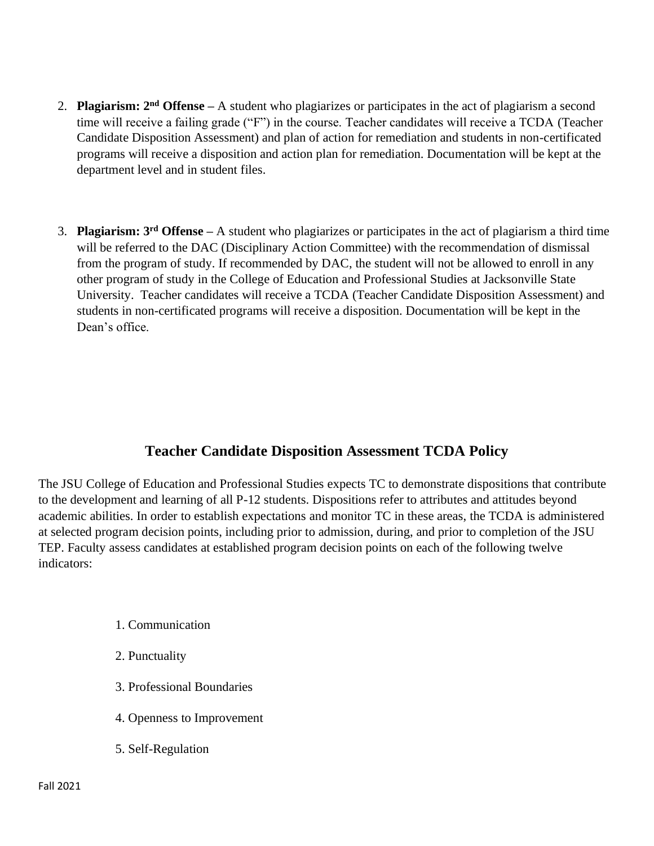- 2. **Plagiarism: 2nd Offense –** A student who plagiarizes or participates in the act of plagiarism a second time will receive a failing grade ("F") in the course. Teacher candidates will receive a TCDA (Teacher Candidate Disposition Assessment) and plan of action for remediation and students in non-certificated programs will receive a disposition and action plan for remediation. Documentation will be kept at the department level and in student files.
- 3. **Plagiarism: 3rd Offense –** A student who plagiarizes or participates in the act of plagiarism a third time will be referred to the DAC (Disciplinary Action Committee) with the recommendation of dismissal from the program of study. If recommended by DAC, the student will not be allowed to enroll in any other program of study in the College of Education and Professional Studies at Jacksonville State University. Teacher candidates will receive a TCDA (Teacher Candidate Disposition Assessment) and students in non-certificated programs will receive a disposition. Documentation will be kept in the Dean's office.

# **Teacher Candidate Disposition Assessment TCDA Policy**

The JSU College of Education and Professional Studies expects TC to demonstrate dispositions that contribute to the development and learning of all P-12 students. Dispositions refer to attributes and attitudes beyond academic abilities. In order to establish expectations and monitor TC in these areas, the TCDA is administered at selected program decision points, including prior to admission, during, and prior to completion of the JSU TEP. Faculty assess candidates at established program decision points on each of the following twelve indicators:

- 1. Communication
- 2. Punctuality
- 3. Professional Boundaries
- 4. Openness to Improvement
- 5. Self-Regulation